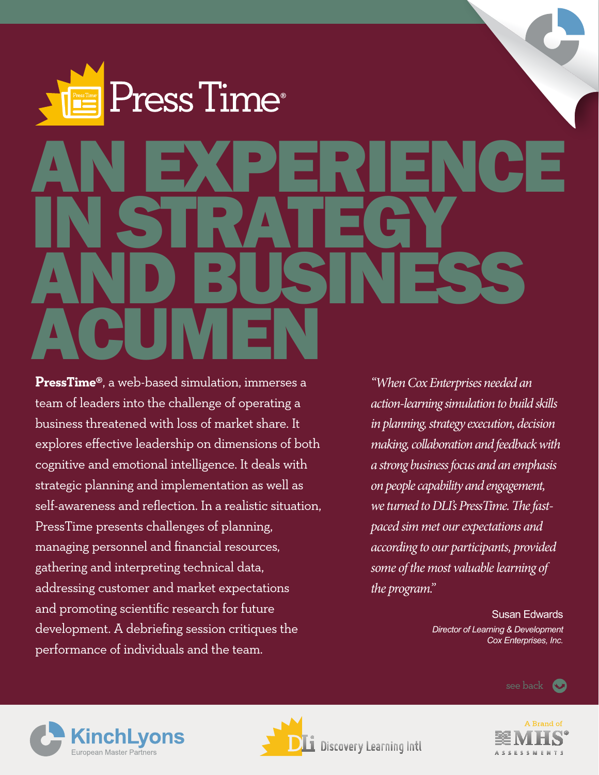# ress Time® AN EXPERIENCE IN STRATEGY AND BUSINESS ACUMEN

**PressTime®**, a web-based simulation, immerses a team of leaders into the challenge of operating a business threatened with loss of market share. It explores effective leadership on dimensions of both cognitive and emotional intelligence. It deals with strategic planning and implementation as well as self-awareness and reflection. In a realistic situation, PressTime presents challenges of planning, managing personnel and financial resources, gathering and interpreting technical data, addressing customer and market expectations and promoting scientific research for future development. A debriefing session critiques the performance of individuals and the team.

*"When Cox Enterprises needed an action-learning simulation to build skills in planning, strategy execution, decision making, collaboration and feedback with a strong business focus and an emphasis on people capability and engagement, we turned to DLI's PressTime. The fastpaced sim met our expectations and according to our participants, provided some of the most valuable learning of the program."*

> Susan Edwards *Director of Learning & Development Cox Enterprises, Inc.*

> > see back (